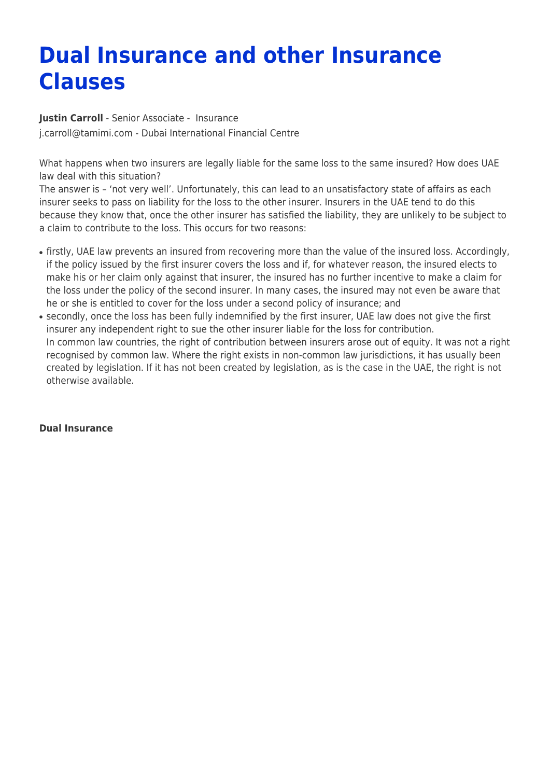## **Dual Insurance and other Insurance Clauses**

**[Justin Carroll](https://www.tamimi.com/find-a-lawyer/justin-carroll/)** - Senior Associate - [Insurance](https://www.tamimi.com/client-services/practices/insurance/) [j.carroll@tamimi.com](mailto:j.carroll@tamimi.com) - [Dubai International Financial Centre](https://www.tamimi.com/locations/uae/)

What happens when two insurers are legally liable for the same loss to the same insured? How does UAE law deal with this situation?

The answer is – 'not very well'. Unfortunately, this can lead to an unsatisfactory state of affairs as each insurer seeks to pass on liability for the loss to the other insurer. Insurers in the UAE tend to do this because they know that, once the other insurer has satisfied the liability, they are unlikely to be subject to a claim to contribute to the loss. This occurs for two reasons:

- firstly, UAE law prevents an insured from recovering more than the value of the insured loss. Accordingly, if the policy issued by the first insurer covers the loss and if, for whatever reason, the insured elects to make his or her claim only against that insurer, the insured has no further incentive to make a claim for the loss under the policy of the second insurer. In many cases, the insured may not even be aware that he or she is entitled to cover for the loss under a second policy of insurance; and
- secondly, once the loss has been fully indemnified by the first insurer, UAE law does not give the first insurer any independent right to sue the other insurer liable for the loss for contribution. In common law countries, the right of contribution between insurers arose out of equity. It was not a right recognised by common law. Where the right exists in non-common law jurisdictions, it has usually been created by legislation. If it has not been created by legislation, as is the case in the UAE, the right is not otherwise available.

## **Dual Insurance**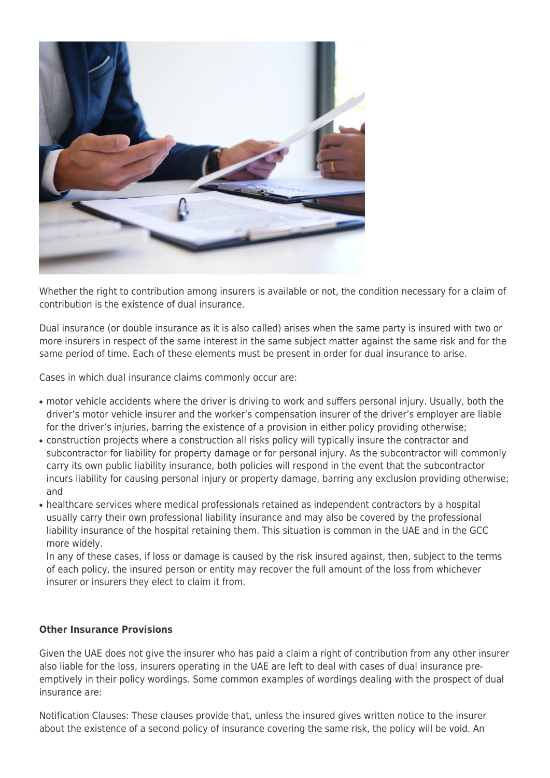

Whether the right to contribution among insurers is available or not, the condition necessary for a claim of contribution is the existence of dual insurance.

Dual insurance (or double insurance as it is also called) arises when the same party is insured with two or more insurers in respect of the same interest in the same subject matter against the same risk and for the same period of time. Each of these elements must be present in order for dual insurance to arise.

Cases in which dual insurance claims commonly occur are:

- motor vehicle accidents where the driver is driving to work and suffers personal injury. Usually, both the driver's motor vehicle insurer and the worker's compensation insurer of the driver's employer are liable for the driver's injuries, barring the existence of a provision in either policy providing otherwise;
- construction projects where a construction all risks policy will typically insure the contractor and subcontractor for liability for property damage or for personal injury. As the subcontractor will commonly carry its own public liability insurance, both policies will respond in the event that the subcontractor incurs liability for causing personal injury or property damage, barring any exclusion providing otherwise; and
- healthcare services where medical professionals retained as independent contractors by a hospital usually carry their own professional liability insurance and may also be covered by the professional liability insurance of the hospital retaining them. This situation is common in the UAE and in the GCC more widely.

In any of these cases, if loss or damage is caused by the risk insured against, then, subject to the terms of each policy, the insured person or entity may recover the full amount of the loss from whichever insurer or insurers they elect to claim it from.

## **Other Insurance Provisions**

Given the UAE does not give the insurer who has paid a claim a right of contribution from any other insurer also liable for the loss, insurers operating in the UAE are left to deal with cases of dual insurance preemptively in their policy wordings. Some common examples of wordings dealing with the prospect of dual insurance are:

Notification Clauses: These clauses provide that, unless the insured gives written notice to the insurer about the existence of a second policy of insurance covering the same risk, the policy will be void. An